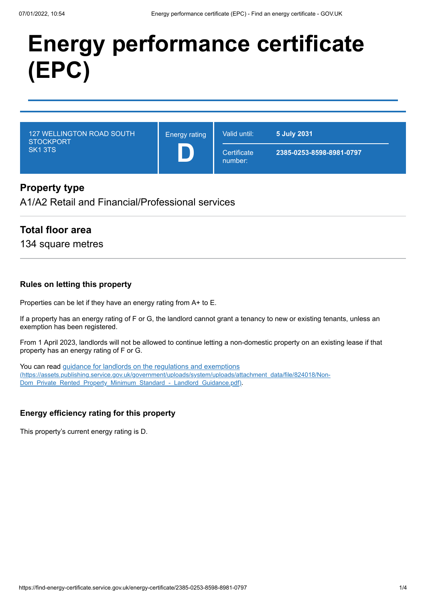# **Energy performance certificate (EPC)**

127 WELLINGTON ROAD SOUTH **STOCKPORT** SK1 3TS

Energy rating **D**

**Certificate** 

number:

Valid until: **5 July 2031**

**2385-0253-8598-8981-0797**

# **Property type**

A1/A2 Retail and Financial/Professional services

## **Total floor area**

134 square metres

#### **Rules on letting this property**

Properties can be let if they have an energy rating from A+ to E.

If a property has an energy rating of F or G, the landlord cannot grant a tenancy to new or existing tenants, unless an exemption has been registered.

From 1 April 2023, landlords will not be allowed to continue letting a non-domestic property on an existing lease if that property has an energy rating of F or G.

You can read guidance for landlords on the regulations and exemptions [\(https://assets.publishing.service.gov.uk/government/uploads/system/uploads/attachment\\_data/file/824018/Non-](https://assets.publishing.service.gov.uk/government/uploads/system/uploads/attachment_data/file/824018/Non-Dom_Private_Rented_Property_Minimum_Standard_-_Landlord_Guidance.pdf)Dom\_Private\_Rented\_Property\_Minimum\_Standard\_-\_Landlord\_Guidance.pdf).

#### **Energy efficiency rating for this property**

This property's current energy rating is D.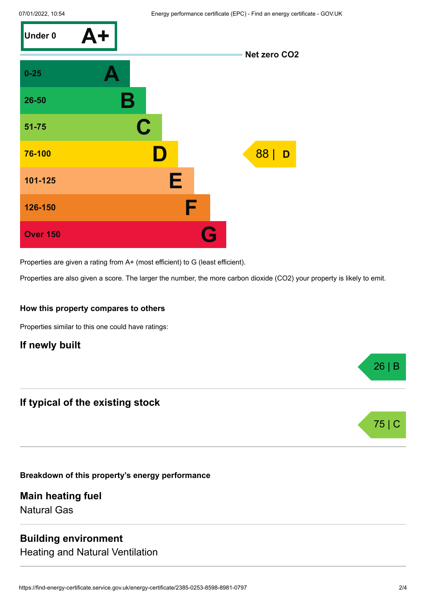

Properties are given a rating from A+ (most efficient) to G (least efficient).

Properties are also given a score. The larger the number, the more carbon dioxide (CO2) your property is likely to emit.

#### **How this property compares to others**

Properties similar to this one could have ratings:

# **If newly built**

## **If typical of the existing stock**

**Breakdown of this property's energy performance**

**Main heating fuel** Natural Gas

#### **Building environment**

Heating and Natural Ventilation

26 | B

75 |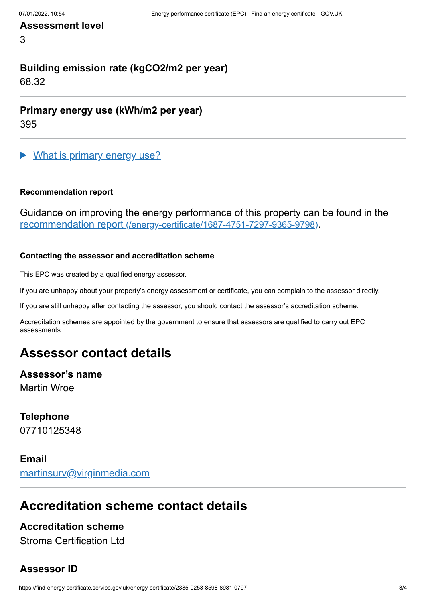### **Assessment level**

3

# **Building emission rate (kgCO2/m2 per year)**

68.32

**Primary energy use (kWh/m2 per year)**

395

What is primary energy use?

#### **Recommendation report**

Guidance on improving the energy performance of this property can be found in the recommendation report [\(/energy-certificate/1687-4751-7297-9365-9798\)](https://find-energy-certificate.service.gov.uk/energy-certificate/1687-4751-7297-9365-9798).

#### **Contacting the assessor and accreditation scheme**

This EPC was created by a qualified energy assessor.

If you are unhappy about your property's energy assessment or certificate, you can complain to the assessor directly.

If you are still unhappy after contacting the assessor, you should contact the assessor's accreditation scheme.

Accreditation schemes are appointed by the government to ensure that assessors are qualified to carry out EPC assessments.

# **Assessor contact details**

# **Assessor's name**

Martin Wroe

#### **Telephone**

07710125348

#### **Email**

[martinsurv@virginmedia.com](mailto:martinsurv@virginmedia.com)

# **Accreditation scheme contact details**

## **Accreditation scheme**

Stroma Certification Ltd

# **Assessor ID**